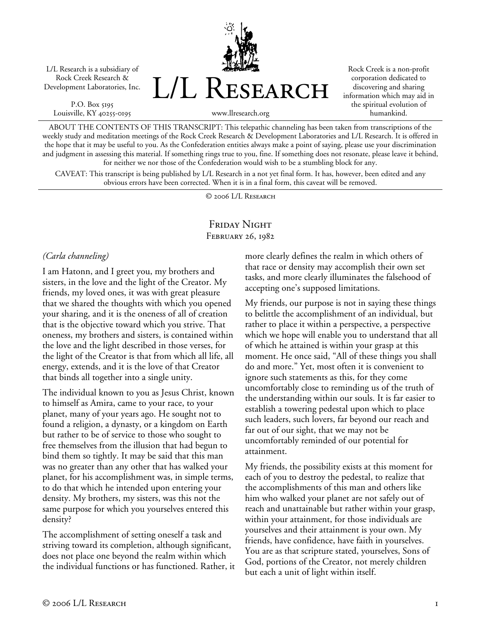L/L Research is a subsidiary of Rock Creek Research & Development Laboratories, Inc.

P.O. Box 5195 Louisville, KY 40255-0195



Rock Creek is a non-profit corporation dedicated to discovering and sharing information which may aid in the spiritual evolution of humankind.

www.llresearch.org

ABOUT THE CONTENTS OF THIS TRANSCRIPT: This telepathic channeling has been taken from transcriptions of the weekly study and meditation meetings of the Rock Creek Research & Development Laboratories and L/L Research. It is offered in the hope that it may be useful to you. As the Confederation entities always make a point of saying, please use your discrimination and judgment in assessing this material. If something rings true to you, fine. If something does not resonate, please leave it behind, for neither we nor those of the Confederation would wish to be a stumbling block for any.

CAVEAT: This transcript is being published by L/L Research in a not yet final form. It has, however, been edited and any obvious errors have been corrected. When it is in a final form, this caveat will be removed.

© 2006 L/L Research

# FRIDAY NIGHT February 26, 1982

## *(Carla channeling)*

I am Hatonn, and I greet you, my brothers and sisters, in the love and the light of the Creator. My friends, my loved ones, it was with great pleasure that we shared the thoughts with which you opened your sharing, and it is the oneness of all of creation that is the objective toward which you strive. That oneness, my brothers and sisters, is contained within the love and the light described in those verses, for the light of the Creator is that from which all life, all energy, extends, and it is the love of that Creator that binds all together into a single unity.

The individual known to you as Jesus Christ, known to himself as Amira, came to your race, to your planet, many of your years ago. He sought not to found a religion, a dynasty, or a kingdom on Earth but rather to be of service to those who sought to free themselves from the illusion that had begun to bind them so tightly. It may be said that this man was no greater than any other that has walked your planet, for his accomplishment was, in simple terms, to do that which he intended upon entering your density. My brothers, my sisters, was this not the same purpose for which you yourselves entered this density?

The accomplishment of setting oneself a task and striving toward its completion, although significant, does not place one beyond the realm within which the individual functions or has functioned. Rather, it more clearly defines the realm in which others of that race or density may accomplish their own set tasks, and more clearly illuminates the falsehood of accepting one's supposed limitations.

My friends, our purpose is not in saying these things to belittle the accomplishment of an individual, but rather to place it within a perspective, a perspective which we hope will enable you to understand that all of which he attained is within your grasp at this moment. He once said, "All of these things you shall do and more." Yet, most often it is convenient to ignore such statements as this, for they come uncomfortably close to reminding us of the truth of the understanding within our souls. It is far easier to establish a towering pedestal upon which to place such leaders, such lovers, far beyond our reach and far out of our sight, that we may not be uncomfortably reminded of our potential for attainment.

My friends, the possibility exists at this moment for each of you to destroy the pedestal, to realize that the accomplishments of this man and others like him who walked your planet are not safely out of reach and unattainable but rather within your grasp, within your attainment, for those individuals are yourselves and their attainment is your own. My friends, have confidence, have faith in yourselves. You are as that scripture stated, yourselves, Sons of God, portions of the Creator, not merely children but each a unit of light within itself.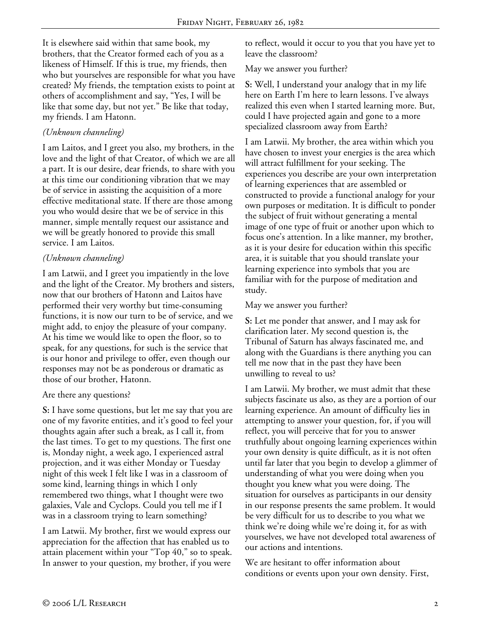It is elsewhere said within that same book, my brothers, that the Creator formed each of you as a likeness of Himself. If this is true, my friends, then who but yourselves are responsible for what you have created? My friends, the temptation exists to point at others of accomplishment and say, "Yes, I will be like that some day, but not yet." Be like that today, my friends. I am Hatonn.

## *(Unknown channeling)*

I am Laitos, and I greet you also, my brothers, in the love and the light of that Creator, of which we are all a part. It is our desire, dear friends, to share with you at this time our conditioning vibration that we may be of service in assisting the acquisition of a more effective meditational state. If there are those among you who would desire that we be of service in this manner, simple mentally request our assistance and we will be greatly honored to provide this small service. I am Laitos.

## *(Unknown channeling)*

I am Latwii, and I greet you impatiently in the love and the light of the Creator. My brothers and sisters, now that our brothers of Hatonn and Laitos have performed their very worthy but time-consuming functions, it is now our turn to be of service, and we might add, to enjoy the pleasure of your company. At his time we would like to open the floor, so to speak, for any questions, for such is the service that is our honor and privilege to offer, even though our responses may not be as ponderous or dramatic as those of our brother, Hatonn.

#### Are there any questions?

**S:** I have some questions, but let me say that you are one of my favorite entities, and it's good to feel your thoughts again after such a break, as I call it, from the last times. To get to my questions. The first one is, Monday night, a week ago, I experienced astral projection, and it was either Monday or Tuesday night of this week I felt like I was in a classroom of some kind, learning things in which I only remembered two things, what I thought were two galaxies, Vale and Cyclops. Could you tell me if I was in a classroom trying to learn something?

I am Latwii. My brother, first we would express our appreciation for the affection that has enabled us to attain placement within your "Top 40," so to speak. In answer to your question, my brother, if you were

to reflect, would it occur to you that you have yet to leave the classroom?

#### May we answer you further?

**S:** Well, I understand your analogy that in my life here on Earth I'm here to learn lessons. I've always realized this even when I started learning more. But, could I have projected again and gone to a more specialized classroom away from Earth?

I am Latwii. My brother, the area within which you have chosen to invest your energies is the area which will attract fulfillment for your seeking. The experiences you describe are your own interpretation of learning experiences that are assembled or constructed to provide a functional analogy for your own purposes or meditation. It is difficult to ponder the subject of fruit without generating a mental image of one type of fruit or another upon which to focus one's attention. In a like manner, my brother, as it is your desire for education within this specific area, it is suitable that you should translate your learning experience into symbols that you are familiar with for the purpose of meditation and study.

### May we answer you further?

**S:** Let me ponder that answer, and I may ask for clarification later. My second question is, the Tribunal of Saturn has always fascinated me, and along with the Guardians is there anything you can tell me now that in the past they have been unwilling to reveal to us?

I am Latwii. My brother, we must admit that these subjects fascinate us also, as they are a portion of our learning experience. An amount of difficulty lies in attempting to answer your question, for, if you will reflect, you will perceive that for you to answer truthfully about ongoing learning experiences within your own density is quite difficult, as it is not often until far later that you begin to develop a glimmer of understanding of what you were doing when you thought you knew what you were doing. The situation for ourselves as participants in our density in our response presents the same problem. It would be very difficult for us to describe to you what we think we're doing while we're doing it, for as with yourselves, we have not developed total awareness of our actions and intentions.

We are hesitant to offer information about conditions or events upon your own density. First,